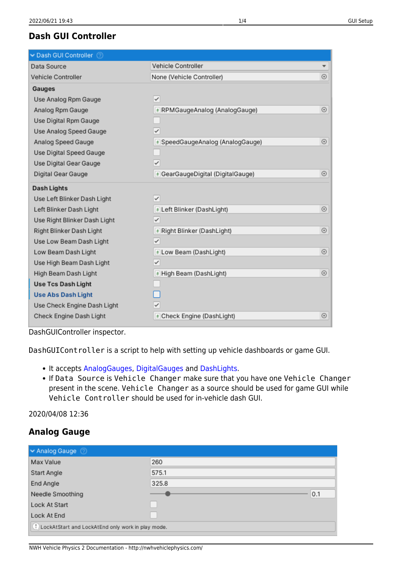# **Dash GUI Controller**

| Dash GUI Controller 2        |                                   |            |
|------------------------------|-----------------------------------|------------|
| Data Source                  | Vehicle Controller                |            |
| Vehicle Controller           | None (Vehicle Controller)         | $\odot$    |
| Gauges                       |                                   |            |
| Use Analog Rpm Gauge         | $\checkmark$                      |            |
| Analog Rpm Gauge             | * RPMGaugeAnalog (AnalogGauge)    | $\odot$    |
| Use Digital Rpm Gauge        |                                   |            |
| Use Analog Speed Gauge       | $\checkmark$                      |            |
| Analog Speed Gauge           | # SpeedGaugeAnalog (AnalogGauge)  | $\odot$    |
| Use Digital Speed Gauge      |                                   |            |
| Use Digital Gear Gauge       | $\checkmark$                      |            |
| Digital Gear Gauge           | # GearGaugeDigital (DigitalGauge) | $\odot$    |
| Dash Lights                  |                                   |            |
| Use Left Blinker Dash Light  | $\checkmark$                      |            |
| Left Blinker Dash Light      | # Left Blinker (DashLight)        | $_{\odot}$ |
| Use Right Blinker Dash Light | $\checkmark$                      |            |
| Right Blinker Dash Light     | * Right Blinker (DashLight)       | $_{\odot}$ |
| Use Low Beam Dash Light      | $\checkmark$                      |            |
| Low Beam Dash Light          | * Low Beam (DashLight)            | $\odot$    |
| Use High Beam Dash Light     | $\checkmark$                      |            |
| High Beam Dash Light         | # High Beam (DashLight)           | $\odot$    |
| <b>Use Tcs Dash Light</b>    |                                   |            |
| <b>Use Abs Dash Light</b>    |                                   |            |
| Use Check Engine Dash Light  | $\checkmark$                      |            |
| Check Engine Dash Light      | * Check Engine (DashLight)        | $\odot$    |

DashGUIController inspector.

DashGUIController is a script to help with setting up vehicle dashboards or game GUI.

- It accepts [AnalogGauges,](#page-0-0) [DigitalGauges](#page-1-0) and [DashLights](#page-2-0).
- If Data Source is Vehicle Changer make sure that you have one Vehicle Changer present in the scene. Vehicle Changer as a source should be used for game GUI while Vehicle Controller should be used for in-vehicle dash GUI.

2020/04/08 12:36

## **Analog Gauge**

<span id="page-0-0"></span>

| MAnalog Gauge                                     |                            |  |
|---------------------------------------------------|----------------------------|--|
| Max Value                                         | 260                        |  |
| <b>Start Angle</b>                                | 575.1                      |  |
| End Angle                                         | 325.8                      |  |
| Needle Smoothing                                  | 0.1                        |  |
| Lock At Start                                     | $\mathcal{L}(\mathcal{A})$ |  |
| Lock At End                                       | $\mathcal{L}$              |  |
| LockAtStart and LockAtEnd only work in play mode. |                            |  |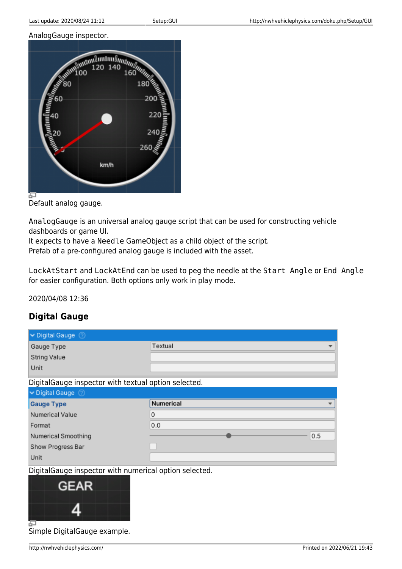#### AnalogGauge inspector.



Default analog gauge.

AnalogGauge is an universal analog gauge script that can be used for constructing vehicle dashboards or game UI.

It expects to have a Needle GameObject as a child object of the script.

Prefab of a pre-configured analog gauge is included with the asset.

LockAtStart and LockAtEnd can be used to peg the needle at the Start Angle or End Angle for easier configuration. Both options only work in play mode.

2020/04/08 12:36

## **Digital Gauge**

<span id="page-1-0"></span>

| ► Digital Gauge 2                                      |           |  |
|--------------------------------------------------------|-----------|--|
| Gauge Type                                             | Textual   |  |
| <b>String Value</b>                                    |           |  |
| Unit                                                   |           |  |
| DigitalGauge inspector with textual option selected.   |           |  |
| ► Digital Gauge 2                                      |           |  |
| <b>Gauge Type</b>                                      | Numerical |  |
| <b>Numerical Value</b>                                 | 0         |  |
| Format                                                 | 0.0       |  |
| Numerical Smoothing                                    | 0.5       |  |
| Show Progress Bar                                      |           |  |
| Unit                                                   |           |  |
| DigitalGauge inspector with numerical option selected. |           |  |



Simple DigitalGauge example.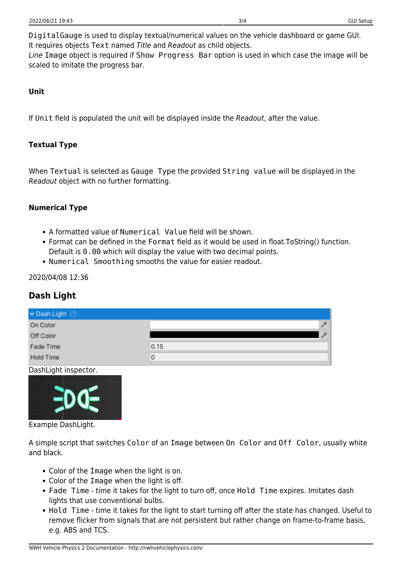DigitalGauge is used to display textual/numerical values on the vehicle dashboard or game GUI. It requires objects Text named Title and Readout as child objects. Line Image object is required if Show Progress Bar option is used in which case the image will be scaled to imitate the progress bar.

#### **Unit**

If Unit field is populated the unit will be displayed inside the Readout, after the value.

### **Textual Type**

When Textual is selected as Gauge Type the provided String value will be displayed in the Readout object with no further formatting.

### **Numerical Type**

- A formatted value of Numerical Value field will be shown.
- Format can be defined in the Format field as it would be used in float.ToString() function. Default is 0.00 which will display the value with two decimal points.
- Numerical Smoothing smooths the value for easier readout.

#### 2020/04/08 12:36

### **Dash Light**

<span id="page-2-0"></span>

| Dash Light                 |      |
|----------------------------|------|
| On Color                   |      |
| Off Color                  |      |
| Fade Time                  | 0.15 |
| Hold Time                  | 0    |
| <b>B</b> 11111111111111111 |      |

#### DashLight inspector.



Example DashLight.

A simple script that switches Color of an Image between On Color and Off Color, usually white and black.

- Color of the Image when the light is on.
- Color of the Image when the light is off.
- Fade Time time it takes for the light to turn off, once Hold Time expires. Imitates dash lights that use conventional bulbs.
- Hold Time time it takes for the light to start turning off after the state has changed. Useful to remove flicker from signals that are not persistent but rather change on frame-to-frame basis, e.g. ABS and TCS.